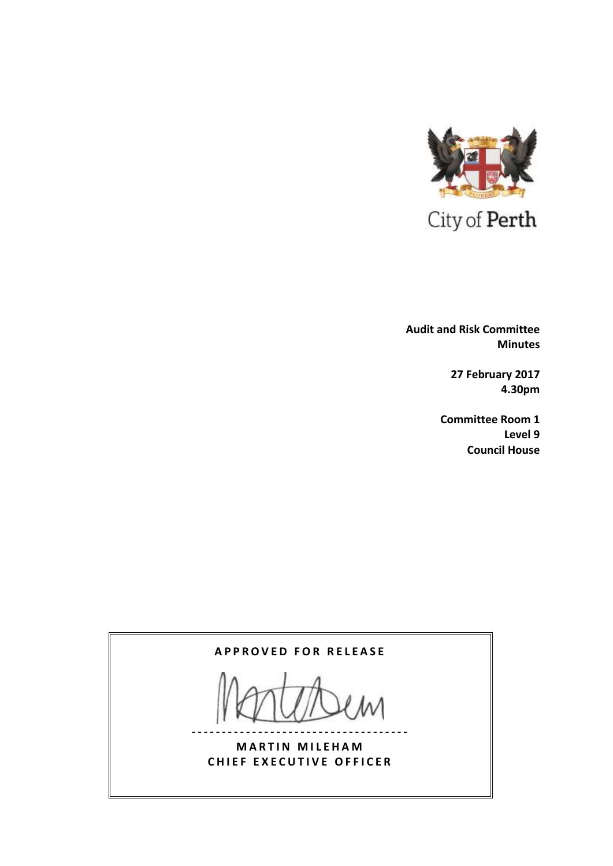

 **Audit and Risk Committee Minutes**

> **27 February 2017 4.30pm**

**Committee Room 1 Level 9 Council House**

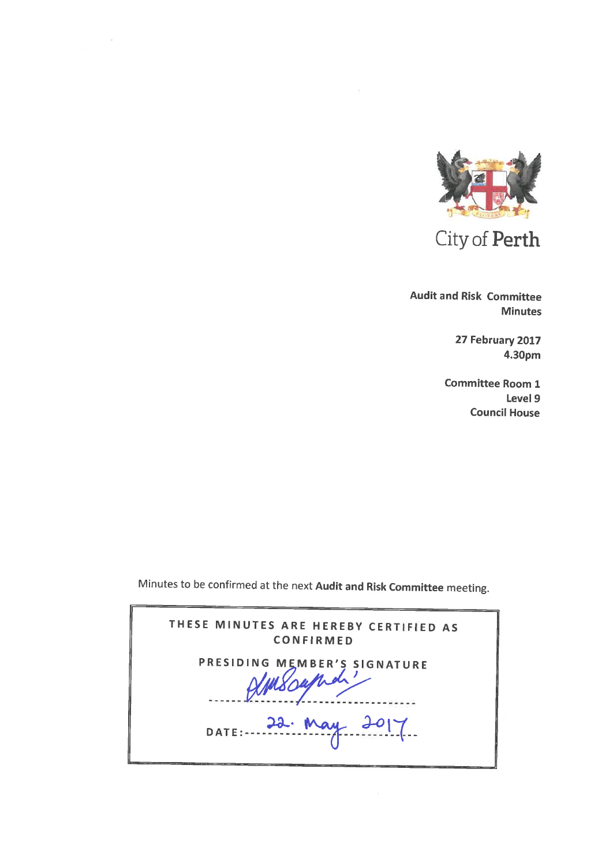

City of Perth

**Audit and Risk Committee Minutes** 

> 27 February 2017 4.30pm

**Committee Room 1** Level 9 **Council House** 

Minutes to be confirmed at the next Audit and Risk Committee meeting.

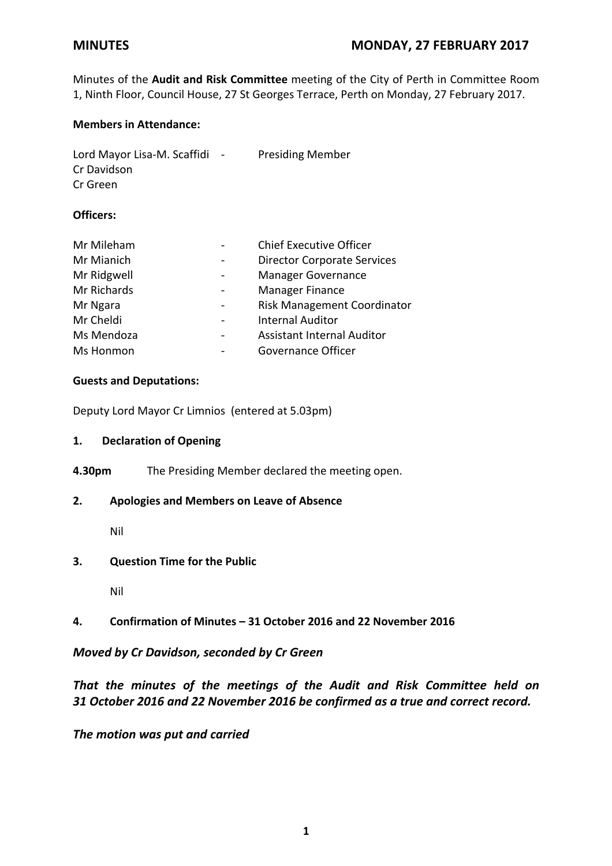Minutes of the **Audit and Risk Committee** meeting of the City of Perth in Committee Room 1, Ninth Floor, Council House, 27 St Georges Terrace, Perth on Monday, 27 February 2017.

## **Members in Attendance:**

| Lord Mayor Lisa-M. Scaffidi | $\sim$ | <b>Presiding Member</b> |
|-----------------------------|--------|-------------------------|
| Cr Davidson                 |        |                         |
| Cr Green                    |        |                         |

#### **Officers:**

| Mr Mileham       | <b>Chief Executive Officer</b>     |
|------------------|------------------------------------|
| Mr Mianich       | <b>Director Corporate Services</b> |
| Mr Ridgwell      | <b>Manager Governance</b>          |
| Mr Richards      | Manager Finance                    |
| Mr Ngara         | Risk Management Coordinator        |
| Mr Cheldi        | <b>Internal Auditor</b>            |
| Ms Mendoza       | <b>Assistant Internal Auditor</b>  |
| <b>Ms Honmon</b> | Governance Officer                 |

### **Guests and Deputations:**

Deputy Lord Mayor Cr Limnios (entered at 5.03pm)

#### **1. Declaration of Opening**

**4.30pm** The Presiding Member declared the meeting open.

# **2. Apologies and Members on Leave of Absence**

Nil

# **3. Question Time for the Public**

Nil

# **4. Confirmation of Minutes – 31 October 2016 and 22 November 2016**

# *Moved by Cr Davidson, seconded by Cr Green*

# *That the minutes of the meetings of the Audit and Risk Committee held on 31 October 2016 and 22 November 2016 be confirmed as a true and correct record.*

*The motion was put and carried*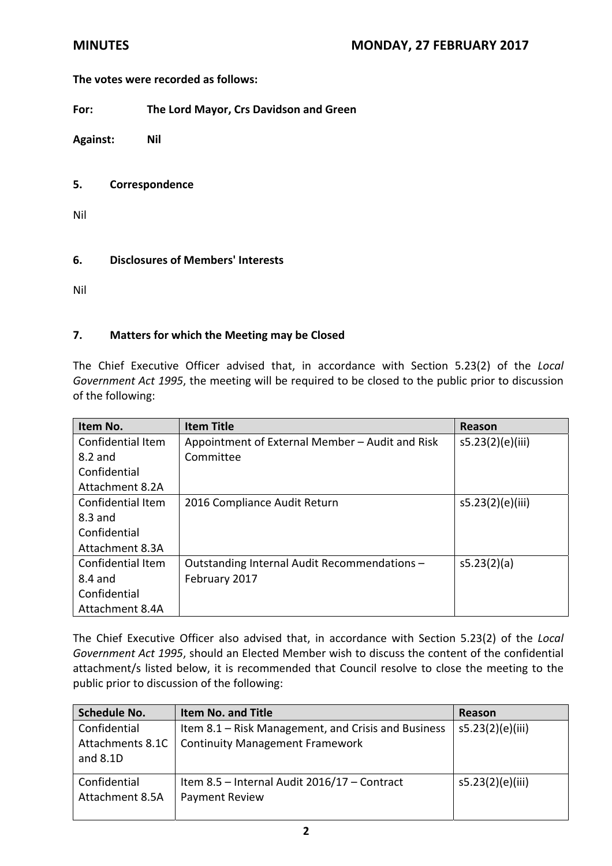# **The votes were recorded as follows:**

**For: The Lord Mayor, Crs Davidson and Green**

**Against: Nil**

#### **5. Correspondence**

Nil

### **6. Disclosures of Members' Interests**

Nil

### **7. Matters for which the Meeting may be Closed**

The Chief Executive Officer advised that, in accordance with Section 5.23(2) of the *Local Government Act 1995*, the meeting will be required to be closed to the public prior to discussion of the following:

| Item No.          | <b>Item Title</b>                               | Reason           |
|-------------------|-------------------------------------------------|------------------|
| Confidential Item | Appointment of External Member - Audit and Risk | s5.23(2)(e)(iii) |
| $8.2$ and         | Committee                                       |                  |
| Confidential      |                                                 |                  |
| Attachment 8.2A   |                                                 |                  |
| Confidential Item | 2016 Compliance Audit Return                    | s5.23(2)(e)(iii) |
| $8.3$ and         |                                                 |                  |
| Confidential      |                                                 |                  |
| Attachment 8.3A   |                                                 |                  |
| Confidential Item | Outstanding Internal Audit Recommendations -    | s5.23(2)(a)      |
| 8.4 and           | February 2017                                   |                  |
| Confidential      |                                                 |                  |
| Attachment 8.4A   |                                                 |                  |

The Chief Executive Officer also advised that, in accordance with Section 5.23(2) of the *Local Government Act 1995*, should an Elected Member wish to discuss the content of the confidential attachment/s listed below, it is recommended that Council resolve to close the meeting to the public prior to discussion of the following:

| <b>Schedule No.</b>                          | <b>Item No. and Title</b>                                                                     | Reason           |
|----------------------------------------------|-----------------------------------------------------------------------------------------------|------------------|
| Confidential<br>Attachments 8.1C<br>and 8.1D | Item 8.1 – Risk Management, and Crisis and Business<br><b>Continuity Management Framework</b> | s5.23(2)(e)(iii) |
| Confidential<br>Attachment 8.5A              | Item 8.5 - Internal Audit 2016/17 - Contract<br>Payment Review                                | s5.23(2)(e)(iii) |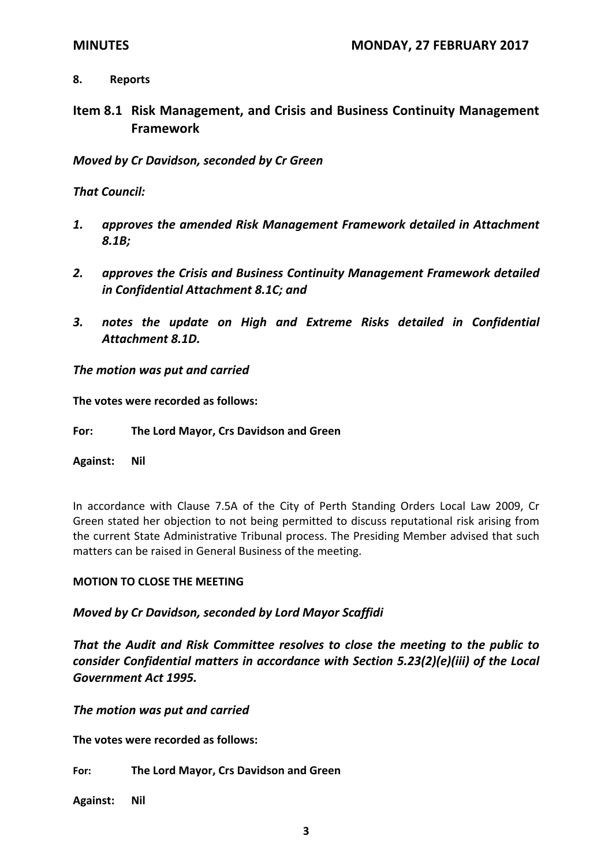# **8. Reports**

**Item 8.1 Risk Management, and Crisis and Business Continuity Management Framework**

*Moved by Cr Davidson, seconded by Cr Green*

*That Council:*

- *1. approves the amended Risk Management Framework detailed in Attachment 8.1B;*
- *2. approves the Crisis and Business Continuity Management Framework detailed in Confidential Attachment 8.1C; and*
- *3. notes the update on High and Extreme Risks detailed in Confidential Attachment 8.1D.*

*The motion was put and carried*

**The votes were recorded as follows:**

**For: The Lord Mayor, Crs Davidson and Green**

**Against: Nil**

In accordance with Clause 7.5A of the City of Perth Standing Orders Local Law 2009, Cr Green stated her objection to not being permitted to discuss reputational risk arising from the current State Administrative Tribunal process. The Presiding Member advised that such matters can be raised in General Business of the meeting.

# **MOTION TO CLOSE THE MEETING**

# *Moved by Cr Davidson, seconded by Lord Mayor Scaffidi*

*That the Audit and Risk Committee resolves to close the meeting to the public to consider Confidential matters in accordance with Section 5.23(2)(e)(iii) of the Local Government Act 1995.*

*The motion was put and carried*

**The votes were recorded as follows:**

**For: The Lord Mayor, Crs Davidson and Green**

**Against: Nil**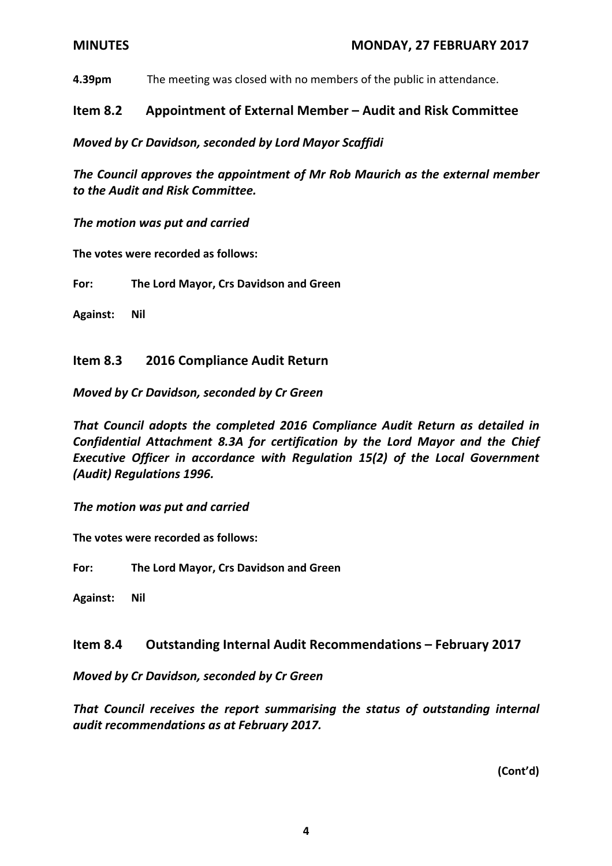**4.39pm** The meeting was closed with no members of the public in attendance.

# **Item 8.2 Appointment of External Member – Audit and Risk Committee**

*Moved by Cr Davidson, seconded by Lord Mayor Scaffidi*

*The Council approves the appointment of Mr Rob Maurich as the external member to the Audit and Risk Committee.* 

*The motion was put and carried*

**The votes were recorded as follows:**

**For: The Lord Mayor, Crs Davidson and Green**

**Against: Nil**

# **Item 8.3 2016 Compliance Audit Return**

*Moved by Cr Davidson, seconded by Cr Green*

*That Council adopts the completed 2016 Compliance Audit Return as detailed in Confidential Attachment 8.3A for certification by the Lord Mayor and the Chief Executive Officer in accordance with Regulation 15(2) of the Local Government (Audit) Regulations 1996.*

*The motion was put and carried*

**The votes were recorded as follows:**

**For: The Lord Mayor, Crs Davidson and Green**

**Against: Nil**

# **Item 8.4 Outstanding Internal Audit Recommendations – February 2017**

*Moved by Cr Davidson, seconded by Cr Green*

*That Council receives the report summarising the status of outstanding internal audit recommendations as at February 2017.*

**(Cont'd)**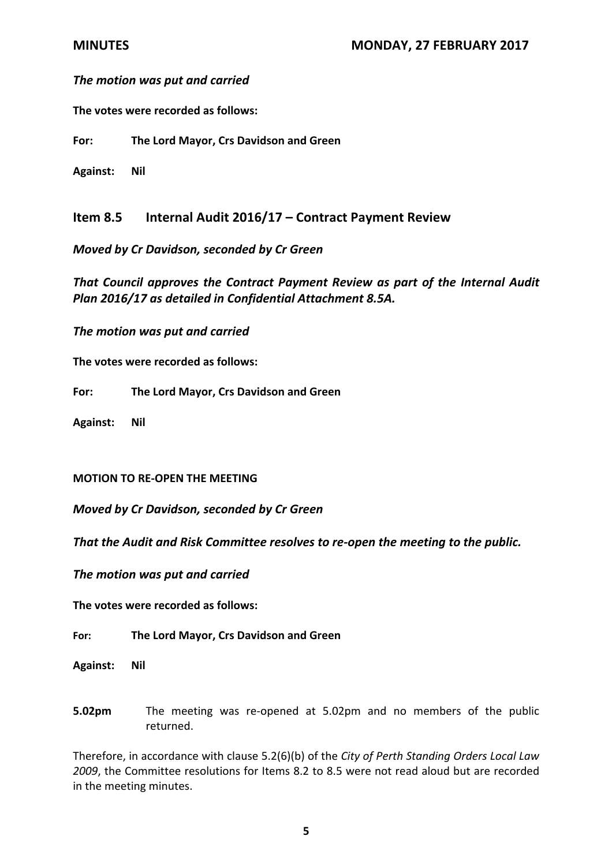## *The motion was put and carried*

**The votes were recorded as follows:**

**For: The Lord Mayor, Crs Davidson and Green**

**Against: Nil**

**Item 8.5 Internal Audit 2016/17 – Contract Payment Review**

*Moved by Cr Davidson, seconded by Cr Green*

*That Council approves the Contract Payment Review as part of the Internal Audit Plan 2016/17 as detailed in Confidential Attachment 8.5A.* 

*The motion was put and carried*

**The votes were recorded as follows:**

**For: The Lord Mayor, Crs Davidson and Green**

**Against: Nil**

**MOTION TO RE‐OPEN THE MEETING** 

*Moved by Cr Davidson, seconded by Cr Green*

*That the Audit and Risk Committee resolves to re‐open the meeting to the public.*

*The motion was put and carried*

**The votes were recorded as follows:**

**For: The Lord Mayor, Crs Davidson and Green**

**Against: Nil**

**5.02pm** The meeting was re-opened at 5.02pm and no members of the public returned.

Therefore, in accordance with clause 5.2(6)(b) of the *City of Perth Standing Orders Local Law 2009*, the Committee resolutions for Items 8.2 to 8.5 were not read aloud but are recorded in the meeting minutes.